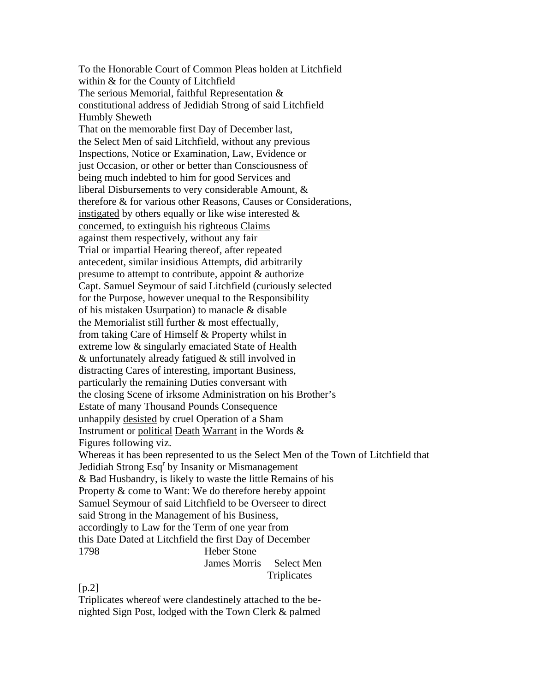To the Honorable Court of Common Pleas holden at Litchfield within & for the County of Litchfield The serious Memorial, faithful Representation & constitutional address of Jedidiah Strong of said Litchfield Humbly Sheweth That on the memorable first Day of December last, the Select Men of said Litchfield, without any previous Inspections, Notice or Examination, Law, Evidence or just Occasion, or other or better than Consciousness of being much indebted to him for good Services and liberal Disbursements to very considerable Amount, & therefore & for various other Reasons, Causes or Considerations, instigated by others equally or like wise interested & concerned, to extinguish his righteous Claims against them respectively, without any fair Trial or impartial Hearing thereof, after repeated antecedent, similar insidious Attempts, did arbitrarily presume to attempt to contribute, appoint & authorize Capt. Samuel Seymour of said Litchfield (curiously selected for the Purpose, however unequal to the Responsibility of his mistaken Usurpation) to manacle & disable the Memorialist still further & most effectually, from taking Care of Himself & Property whilst in extreme low & singularly emaciated State of Health & unfortunately already fatigued & still involved in distracting Cares of interesting, important Business, particularly the remaining Duties conversant with the closing Scene of irksome Administration on his Brother's Estate of many Thousand Pounds Consequence unhappily desisted by cruel Operation of a Sham Instrument or political Death Warrant in the Words & Figures following viz. Whereas it has been represented to us the Select Men of the Town of Litchfield that Jedidiah Strong Esq<sup>r</sup> by Insanity or Mismanagement & Bad Husbandry, is likely to waste the little Remains of his Property & come to Want: We do therefore hereby appoint Samuel Seymour of said Litchfield to be Overseer to direct said Strong in the Management of his Business, accordingly to Law for the Term of one year from this Date Dated at Litchfield the first Day of December 1798 Heber Stone James Morris Select Men **Triplicates** 

 $[p.2]$ 

Triplicates whereof were clandestinely attached to the benighted Sign Post, lodged with the Town Clerk & palmed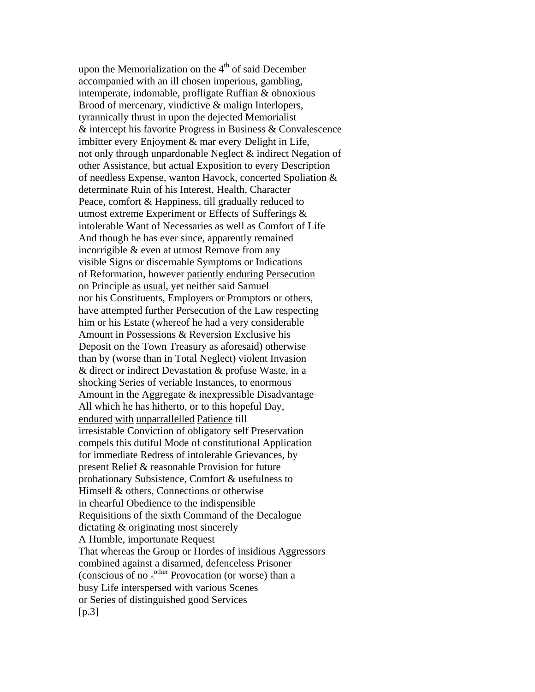upon the Memorialization on the  $4<sup>th</sup>$  of said December accompanied with an ill chosen imperious, gambling, intemperate, indomable, profligate Ruffian & obnoxious Brood of mercenary, vindictive & malign Interlopers, tyrannically thrust in upon the dejected Memorialist & intercept his favorite Progress in Business & Convalescence imbitter every Enjoyment & mar every Delight in Life, not only through unpardonable Neglect & indirect Negation of other Assistance, but actual Exposition to every Description of needless Expense, wanton Havock, concerted Spoliation & determinate Ruin of his Interest, Health, Character Peace, comfort & Happiness, till gradually reduced to utmost extreme Experiment or Effects of Sufferings & intolerable Want of Necessaries as well as Comfort of Life And though he has ever since, apparently remained incorrigible & even at utmost Remove from any visible Signs or discernable Symptoms or Indications of Reformation, however patiently enduring Persecution on Principle as usual, yet neither said Samuel nor his Constituents, Employers or Promptors or others, have attempted further Persecution of the Law respecting him or his Estate (whereof he had a very considerable Amount in Possessions & Reversion Exclusive his Deposit on the Town Treasury as aforesaid) otherwise than by (worse than in Total Neglect) violent Invasion & direct or indirect Devastation & profuse Waste, in a shocking Series of veriable Instances, to enormous Amount in the Aggregate & inexpressible Disadvantage All which he has hitherto, or to this hopeful Day, endured with unparrallelled Patience till irresistable Conviction of obligatory self Preservation compels this dutiful Mode of constitutional Application for immediate Redress of intolerable Grievances, by present Relief & reasonable Provision for future probationary Subsistence, Comfort & usefulness to Himself & others, Connections or otherwise in chearful Obedience to the indispensible Requisitions of the sixth Command of the Decalogue dictating & originating most sincerely A Humble, importunate Request That whereas the Group or Hordes of insidious Aggressors combined against a disarmed, defenceless Prisoner (conscious of no  $\lambda$ <sup>other</sup> Provocation (or worse) than a busy Life interspersed with various Scenes or Series of distinguished good Services  $[p.3]$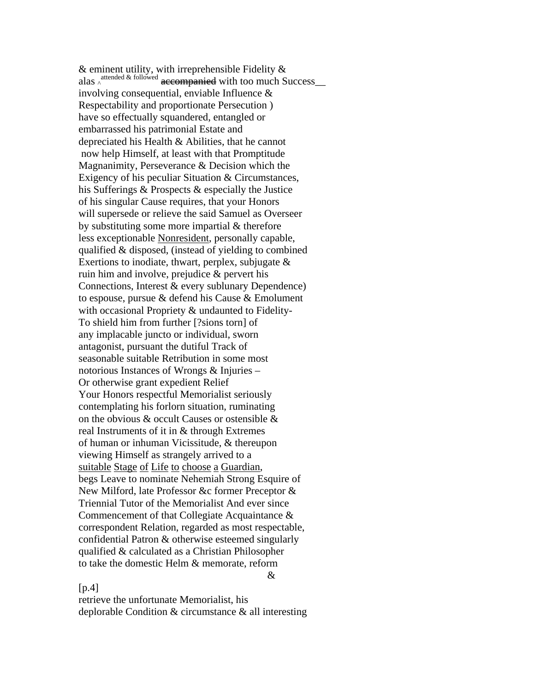& eminent utility, with irreprehensible Fidelity & alas <sup>attended & followed</sup> accompanied with too much Success\_ involving consequential, enviable Influence & Respectability and proportionate Persecution ) have so effectually squandered, entangled or embarrassed his patrimonial Estate and depreciated his Health & Abilities, that he cannot now help Himself, at least with that Promptitude Magnanimity, Perseverance & Decision which the Exigency of his peculiar Situation & Circumstances, his Sufferings & Prospects & especially the Justice of his singular Cause requires, that your Honors will supersede or relieve the said Samuel as Overseer by substituting some more impartial & therefore less exceptionable Nonresident, personally capable, qualified & disposed, (instead of yielding to combined Exertions to inodiate, thwart, perplex, subjugate  $\&$ ruin him and involve, prejudice & pervert his Connections, Interest & every sublunary Dependence) to espouse, pursue & defend his Cause & Emolument with occasional Propriety & undaunted to Fidelity-To shield him from further [?sions torn] of any implacable juncto or individual, sworn antagonist, pursuant the dutiful Track of seasonable suitable Retribution in some most notorious Instances of Wrongs & Injuries – Or otherwise grant expedient Relief Your Honors respectful Memorialist seriously contemplating his forlorn situation, ruminating on the obvious & occult Causes or ostensible & real Instruments of it in & through Extremes of human or inhuman Vicissitude, & thereupon viewing Himself as strangely arrived to a suitable Stage of Life to choose a Guardian, begs Leave to nominate Nehemiah Strong Esquire of New Milford, late Professor &c former Preceptor & Triennial Tutor of the Memorialist And ever since Commencement of that Collegiate Acquaintance & correspondent Relation, regarded as most respectable, confidential Patron & otherwise esteemed singularly qualified & calculated as a Christian Philosopher to take the domestic Helm & memorate, reform  $\mathcal{R}_{\mathcal{L}}$ 

## $[p.4]$

retrieve the unfortunate Memorialist, his deplorable Condition & circumstance & all interesting